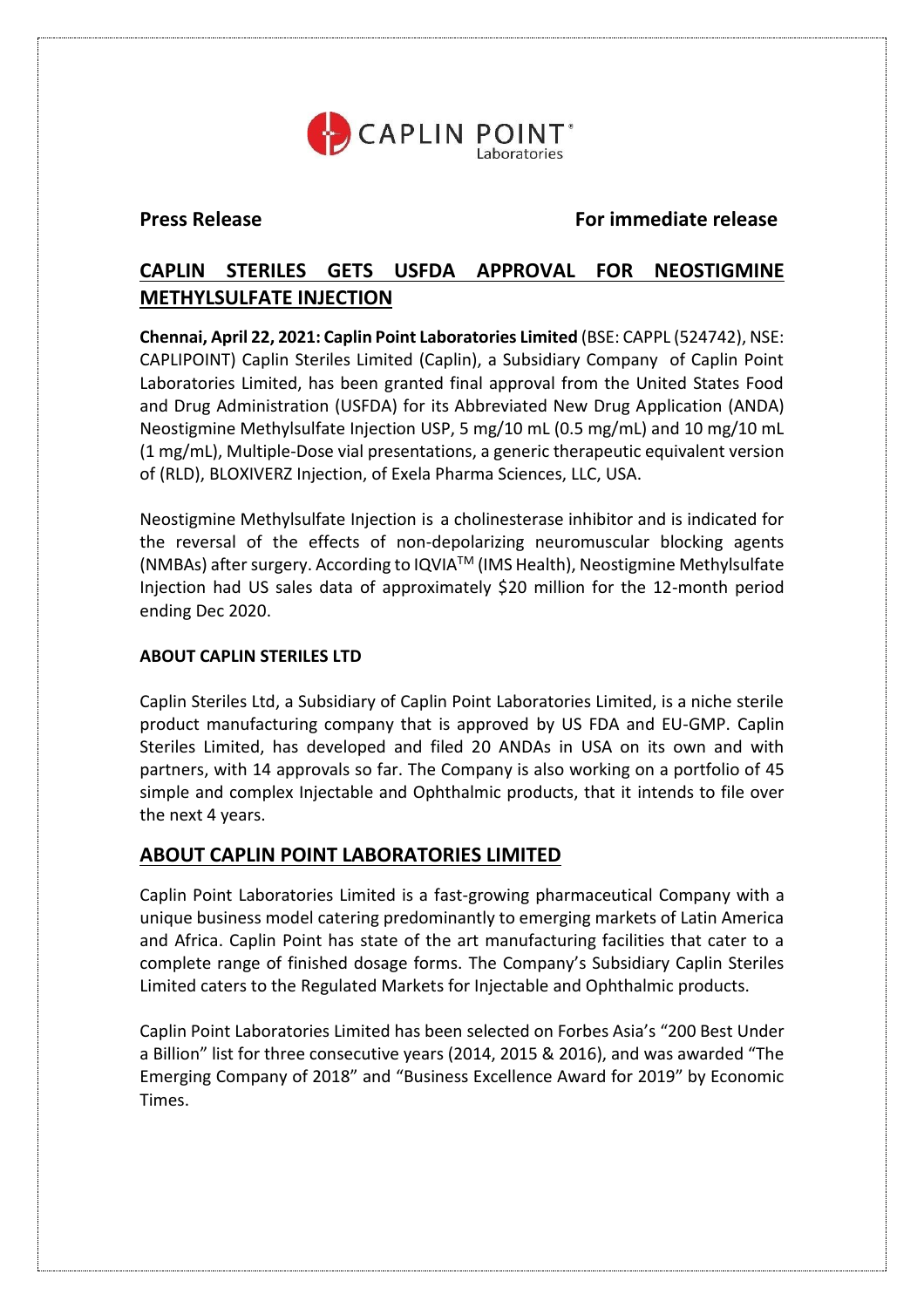

# **Press Release For immediate release**

# **CAPLIN STERILES GETS USFDA APPROVAL FOR NEOSTIGMINE METHYLSULFATE INJECTION**

**Chennai, April 22, 2021: Caplin Point Laboratories Limited** (BSE: CAPPL (524742), NSE: CAPLIPOINT) Caplin Steriles Limited (Caplin), a Subsidiary Company of Caplin Point Laboratories Limited, has been granted final approval from the United States Food and Drug Administration (USFDA) for its Abbreviated New Drug Application (ANDA) Neostigmine Methylsulfate Injection USP, 5 mg/10 mL (0.5 mg/mL) and 10 mg/10 mL (1 mg/mL), Multiple-Dose vial presentations, a generic therapeutic equivalent version of (RLD), BLOXIVERZ Injection, of Exela Pharma Sciences, LLC, USA.

Neostigmine Methylsulfate Injection is a cholinesterase inhibitor and is indicated for the reversal of the effects of non-depolarizing neuromuscular blocking agents (NMBAs) after surgery. According to IQVIATM (IMS Health), Neostigmine Methylsulfate Injection had US sales data of approximately \$20 million for the 12-month period ending Dec 2020.

### **ABOUT CAPLIN STERILES LTD**

Caplin Steriles Ltd, a Subsidiary of Caplin Point Laboratories Limited, is a niche sterile product manufacturing company that is approved by US FDA and EU-GMP. Caplin Steriles Limited, has developed and filed 20 ANDAs in USA on its own and with partners, with 14 approvals so far. The Company is also working on a portfolio of 45 simple and complex Injectable and Ophthalmic products, that it intends to file over the next 4 years.

# **ABOUT CAPLIN POINT LABORATORIES LIMITED**

Caplin Point Laboratories Limited is a fast-growing pharmaceutical Company with a unique business model catering predominantly to emerging markets of Latin America and Africa. Caplin Point has state of the art manufacturing facilities that cater to a complete range of finished dosage forms. The Company's Subsidiary Caplin Steriles Limited caters to the Regulated Markets for Injectable and Ophthalmic products.

Caplin Point Laboratories Limited has been selected on Forbes Asia's "200 Best Under a Billion" list for three consecutive years (2014, 2015 & 2016), and was awarded "The Emerging Company of 2018" and "Business Excellence Award for 2019" by Economic Times.